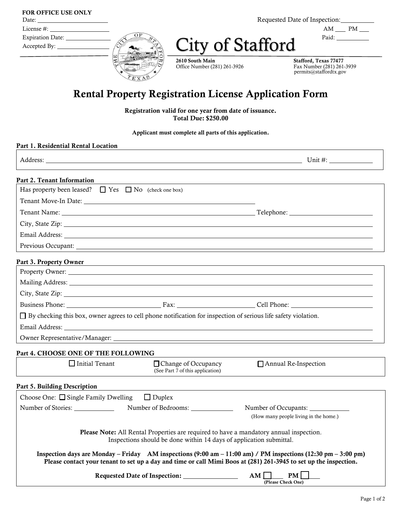| <b>FOR OFFICE USE ONLY</b>                                                                                                                                                                                                     |
|--------------------------------------------------------------------------------------------------------------------------------------------------------------------------------------------------------------------------------|
| Date: the contract of the contract of the contract of the contract of the contract of the contract of the contract of the contract of the contract of the contract of the contract of the contract of the contract of the cont |
| License #:                                                                                                                                                                                                                     |

(ല

Requested Date of Inspection:

 $\overline{OR}$   $\overline{OR}$   $\overline{OR}$   $\overline{OR}$   $\overline{OR}$   $\overline{OR}$   $\overline{OR}$   $\overline{OR}$   $\overline{OR}$   $\overline{OR}$   $\overline{OR}$   $\overline{OR}$   $\overline{OR}$   $\overline{OR}$   $\overline{OR}$   $\overline{OR}$   $\overline{OR}$   $\overline{OR}$   $\overline{OR}$   $\overline{OR}$   $\overline{OR}$   $\overline{OR}$   $\overline{OR}$   $\overline{OR}$   $\overline{$ 

| Expiration<br>Jate |                  | Paid. |
|--------------------|------------------|-------|
| Accepted<br>Bv     | lity of Stafford |       |

2610 South Main Stafford, Texas 77477 Office Number (281) 261-3926

Fax Number (281) 261-3939<br>permits@staffordtx.gov

# Rental Property Registration License Application Form

Registration valid for one year from date of issuance. Total Due: \$250.00

Applicant must complete all parts of this application.

| Part 2. Tenant Information                                                                                                                                                                                                     |                                                                                                                                                                                                                                                                        |
|--------------------------------------------------------------------------------------------------------------------------------------------------------------------------------------------------------------------------------|------------------------------------------------------------------------------------------------------------------------------------------------------------------------------------------------------------------------------------------------------------------------|
| Has property been leased? $\Box$ Yes $\Box$ No (check one box)                                                                                                                                                                 |                                                                                                                                                                                                                                                                        |
| Tenant Move-In Date: 1988. The Contract of the Contract of the Contract of the Contract of the Contract of the Contract of the Contract of the Contract of the Contract of the Contract of the Contract of the Contract of the |                                                                                                                                                                                                                                                                        |
|                                                                                                                                                                                                                                |                                                                                                                                                                                                                                                                        |
|                                                                                                                                                                                                                                |                                                                                                                                                                                                                                                                        |
|                                                                                                                                                                                                                                | Email Address: <u>Communications</u> Contained by The Contract of the Contract of the Contract of the Contract of the Contract of the Contract of the Contract of the Contract of the Contract of the Contract of the Contract of t                                    |
|                                                                                                                                                                                                                                |                                                                                                                                                                                                                                                                        |
| Part 3. Property Owner                                                                                                                                                                                                         | <u> 1989 - Johann Stoff, deutscher Stoffen und der Stoffen und der Stoffen und der Stoffen und der Stoffen und der</u>                                                                                                                                                 |
|                                                                                                                                                                                                                                |                                                                                                                                                                                                                                                                        |
|                                                                                                                                                                                                                                |                                                                                                                                                                                                                                                                        |
|                                                                                                                                                                                                                                |                                                                                                                                                                                                                                                                        |
|                                                                                                                                                                                                                                |                                                                                                                                                                                                                                                                        |
| $\Box$ By checking this box, owner agrees to cell phone notification for inspection of serious life safety violation.                                                                                                          |                                                                                                                                                                                                                                                                        |
|                                                                                                                                                                                                                                |                                                                                                                                                                                                                                                                        |
|                                                                                                                                                                                                                                |                                                                                                                                                                                                                                                                        |
| Part 4. CHOOSE ONE OF THE FOLLOWING                                                                                                                                                                                            |                                                                                                                                                                                                                                                                        |
| $\Box$ Initial Tenant                                                                                                                                                                                                          | □ Change of Occupancy<br>Annual Re-Inspection                                                                                                                                                                                                                          |
|                                                                                                                                                                                                                                | (See Part $\overline{7}$ of this application)                                                                                                                                                                                                                          |
| Part 5. Building Description                                                                                                                                                                                                   |                                                                                                                                                                                                                                                                        |
| Choose One: $\Box$ Single Family Dwelling $\Box$ Duplex                                                                                                                                                                        |                                                                                                                                                                                                                                                                        |
| Number of Stories: ________________<br>Number of Bedrooms: _______________                                                                                                                                                     | Number of Occupants:                                                                                                                                                                                                                                                   |
|                                                                                                                                                                                                                                | (How many people living in the home.)                                                                                                                                                                                                                                  |
|                                                                                                                                                                                                                                | Please Note: All Rental Properties are required to have a mandatory annual inspection.<br>Inspections should be done within 14 days of application submittal.                                                                                                          |
|                                                                                                                                                                                                                                | Inspection days are Monday – Friday AM inspections $(9:00 \text{ am} - 11:00 \text{ am})$ / PM inspections $(12:30 \text{ pm} - 3:00 \text{ pm})$<br>Please contact your tenant to set up a day and time or call Mimi Boos at (281) 261-3945 to set up the inspection. |
|                                                                                                                                                                                                                                | PM<br>$AM$ $\Box$<br>(Please Check One)                                                                                                                                                                                                                                |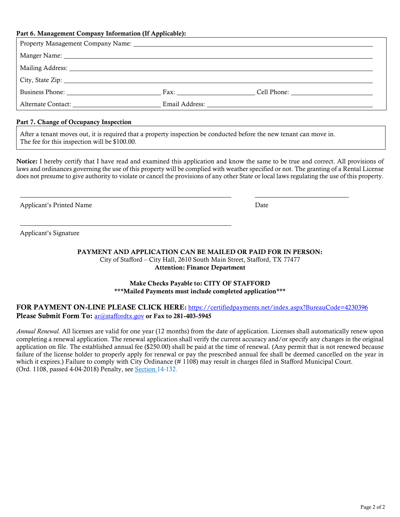| Part 6. Management Company Information (If Applicable):                                                        |  |  |
|----------------------------------------------------------------------------------------------------------------|--|--|
|                                                                                                                |  |  |
|                                                                                                                |  |  |
| Mailing Address: 1988 and 2008 and 2008 and 2008 and 2008 and 2008 and 2008 and 2008 and 2008 and 2008 and 200 |  |  |
|                                                                                                                |  |  |
|                                                                                                                |  |  |
|                                                                                                                |  |  |
|                                                                                                                |  |  |

#### Part 7. Change of Occupancy Inspection

After a tenant moves out, it is required that a property inspection be conducted before the new tenant can move in. The fee for this inspection will be \$100.00.

Notice: I hereby certify that I have read and examined this application and know the same to be true and correct. All provisions of laws and ordinances governing the use of this property will be complied with weather specified or not. The granting of a Rental License does not presume to give authority to violate or cancel the provisions of any other State or local laws regulating the use of this property.

Applicant's Printed Name Date Date Applicant's Printed Name Date Date Date Date Date

Applicant's Signature

### PAYMENT AND APPLICATION CAN BE MAILED OR PAID FOR IN PERSON: City of Stafford – City Hall, 2610 South Main Street, Stafford, TX 77477

Attention: Finance Department

#### Make Checks Payable to: CITY OF STAFFORD \*\*\*Mailed Payments must include completed application\*\*\*

#### FOR PAYMENT ON-LINE PLEASE CLICK HERE: https://certifiedpayments.net/index.aspx?BureauCode=4230396 Please Submit Form To: [ar@staffordtx.gov](mailto:ar@staffordtx.gov) or Fax to 281-403-5945

*Annual Renewal.* All licenses are valid for one year (12 months) from the date of application. Licenses shall automatically renew upon completing a renewal application. The renewal application shall verify the current accuracy and/or specify any changes in the original application on file. The established annual fee (\$250.00) shall be paid at the time of renewal. (Any permit that is not renewed because failure of the license holder to properly apply for renewal or pay the prescribed annual fee shall be deemed cancelled on the year in which it expires.) Failure to comply with City Ordinance (# 1108) may result in charges filed in Stafford Municipal Court. (Ord. 1108, passed 4-04-2018) Penalty, see **Section** 14-132.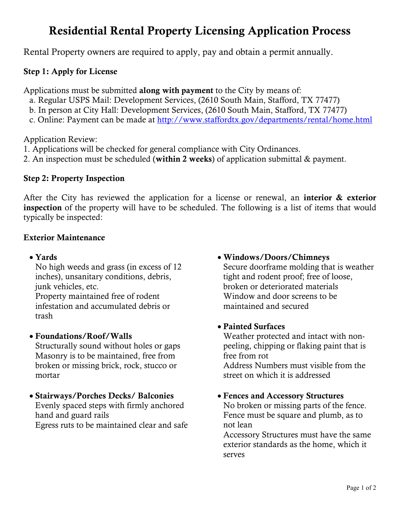# Residential Rental Property Licensing Application Process

Rental Property owners are required to apply, pay and obtain a permit annually.

# Step 1: Apply for License

Applications must be submitted along with payment to the City by means of:

- a. Regular USPS Mail: Development Services, (2610 South Main, Stafford, TX 77477)
- b. In person at City Hall: Development Services, (2610 South Main, Stafford, TX 77477)
- c. Online: Payment can be made at <http://www.staffordtx.gov/departments/rental/home.html>

Application Review:

- 1. Applications will be checked for general compliance with City Ordinances.
- 2. An inspection must be scheduled (within 2 weeks) of application submittal & payment.

## Step 2: Property Inspection

After the City has reviewed the application for a license or renewal, an interior & exterior inspection of the property will have to be scheduled. The following is a list of items that would typically be inspected:

### Exterior Maintenance

## • Yards

No high weeds and grass (in excess of 12 inches), unsanitary conditions, debris, junk vehicles, etc.

Property maintained free of rodent infestation and accumulated debris or trash

# • Foundations/Roof/Walls

Structurally sound without holes or gaps Masonry is to be maintained, free from broken or missing brick, rock, stucco or mortar

### • Stairways/Porches Decks/ Balconies

Evenly spaced steps with firmly anchored hand and guard rails Egress ruts to be maintained clear and safe

## • Windows/Doors/Chimneys

Secure doorframe molding that is weather tight and rodent proof; free of loose, broken or deteriorated materials Window and door screens to be maintained and secured

# • Painted Surfaces

Weather protected and intact with nonpeeling, chipping or flaking paint that is free from rot Address Numbers must visible from the

street on which it is addressed

• Fences and Accessory Structures

No broken or missing parts of the fence. Fence must be square and plumb, as to not lean

Accessory Structures must have the same exterior standards as the home, which it serves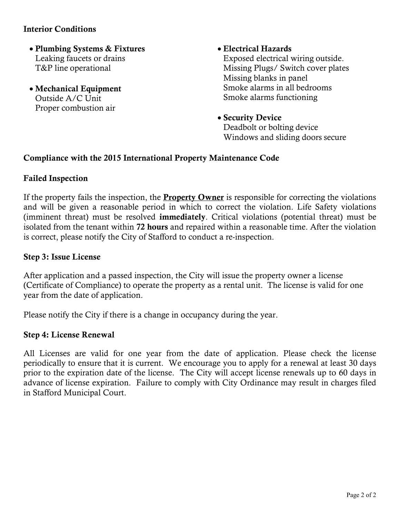### Interior Conditions

- Plumbing Systems & Fixtures Leaking faucets or drains T&P line operational
- Mechanical Equipment Outside A/C Unit Proper combustion air

• Electrical Hazards

Exposed electrical wiring outside. Missing Plugs/ Switch cover plates Missing blanks in panel Smoke alarms in all bedrooms Smoke alarms functioning

• Security Device

Deadbolt or bolting device Windows and sliding doors secure

### Compliance with the 2015 International Property Maintenance Code

### Failed Inspection

If the property fails the inspection, the **Property Owner** is responsible for correcting the violations and will be given a reasonable period in which to correct the violation. Life Safety violations (imminent threat) must be resolved immediately. Critical violations (potential threat) must be isolated from the tenant within 72 hours and repaired within a reasonable time. After the violation is correct, please notify the City of Stafford to conduct a re-inspection.

#### Step 3: Issue License

After application and a passed inspection, the City will issue the property owner a license (Certificate of Compliance) to operate the property as a rental unit. The license is valid for one year from the date of application.

Please notify the City if there is a change in occupancy during the year.

#### Step 4: License Renewal

All Licenses are valid for one year from the date of application. Please check the license periodically to ensure that it is current. We encourage you to apply for a renewal at least 30 days prior to the expiration date of the license. The City will accept license renewals up to 60 days in advance of license expiration. Failure to comply with City Ordinance may result in charges filed in Stafford Municipal Court.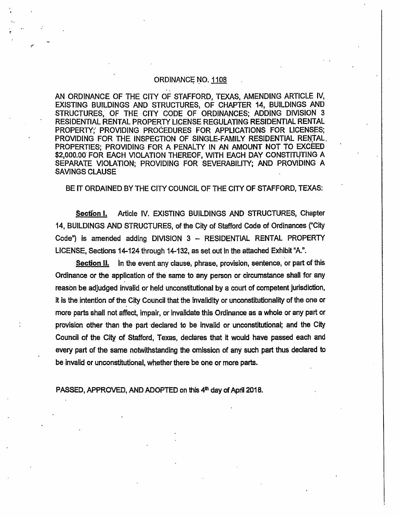#### ORDINANCE NO. 1108

AN ORDINANCE OF THE CITY OF STAFFORD. TEXAS, AMENDING ARTICLE IV, EXISTING BUILDINGS AND STRUCTURES, OF CHAPTER 14, BUILDINGS AND STRUCTURES, OF THE CITY CODE OF ORDINANCES; ADDING DIVISION 3 RESIDENTIAL RENTAL PROPERTY LICENSE REGULATING RESIDENTIAL RENTAL PROPERTY; PROVIDING PROCEDURES FOR APPLICATIONS FOR LICENSES; PROVIDING FOR THE INSPECTION OF SINGLE-FAMILY RESIDENTIAL RENTAL. PROPERTIES; PROVIDING FOR A PENALTY IN AN AMOUNT NOT TO EXCEED \$2,000.00 FOR EACH VIOLATION THEREOF, WITH EACH DAY CONSTITUTING A SEPARATE VIOLATION; PROVIDING FOR SEVERABILITY; AND PROVIDING A **SAVINGS CLAUSE** 

BE IT ORDAINED BY THE CITY COUNCIL OF THE CITY OF STAFFORD, TEXAS:

Section I. Article IV. EXISTING BUILDINGS AND STRUCTURES, Chapter 14, BUILDINGS AND STRUCTURES, of the City of Stafford Code of Ordinances ("City Code") is amended adding DIVISION 3 - RESIDENTIAL RENTAL PROPERTY LICENSE, Sections 14-124 through 14-132, as set out in the attached Exhibit "A.".

Section II. In the event any clause, phrase, provision, sentence, or part of this Ordinance or the application of the same to any person or circumstance shall for any reason be adjudged invalid or held unconstitutional by a court of competent jurisdiction, it is the intention of the City Council that the invalidity or unconstitutionality of the one or more parts shall not affect, impair, or invalidate this Ordinance as a whole or any part or provision other than the part declared to be invalid or unconstitutional; and the City Council of the City of Stafford, Texas, declares that it would have passed each and every part of the same notwithstanding the omission of any such part thus declared to be invalid or unconstitutional, whether there be one or more parts.

PASSED, APPROVED, AND ADOPTED on this 4th day of April 2018.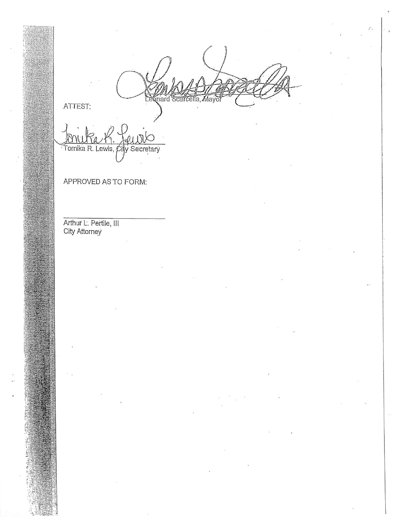nard Scar la,

ATTEST:

Tomika R. Lewis, City Secretary

APPROVED AS TO FORM:

Arthur L. Pertile, III<br>City Attorney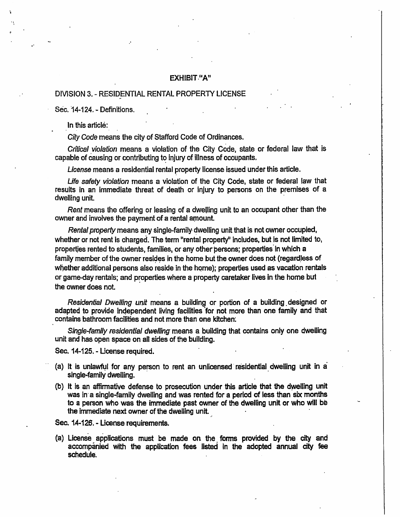#### **EXHIBIT "A"**

#### DIVISION 3. - RESIDENTIAL RENTAL PROPERTY LICENSE

Sec. 14-124. - Definitions.

In this article:

City Code means the city of Stafford Code of Ordinances.

Critical violation means a violation of the City Code, state or federal law that is capable of causing or contributing to injury of illness of occupants.

License means a residential rental property license issued under this article.

Life safety violation means a violation of the City Code, state or federal law that results in an immediate threat of death or injury to persons on the premises of a dwelling unit.

Rent means the offering or leasing of a dwelling unit to an occupant other than the owner and involves the payment of a rental amount.

Rental property means any single-family dwelling unit that is not owner occupied, whether or not rent is charged. The term "rental property" includes, but is not limited to, properties rented to students, families, or any other persons; properties in which a family member of the owner resides in the home but the owner does not (regardless of whether additional persons also reside in the home); properties used as vacation rentals or game-day rentals; and properties where a property caretaker lives in the home but the owner does not.

Residential Dwelling unit means a building or portion of a building designed or adapted to provide independent living facilities for not more than one family and that contains bathroom facilities and not more than one kitchen.

Single-family residential dwelling means a building that contains only one dwelling unit and has open space on all sides of the building.

Sec. 14-125. - License required.

- (a) It is unlawful for any person to rent an unlicensed residential dwelling unit in a single-family dwelling.
- (b) It is an affirmative defense to prosecution under this article that the dwelling unit was in a single-family dwelling and was rented for a period of less than six months to a person who was the immediate past owner of the dwelling unit or who will be the immediate next owner of the dwelling unit.

Sec. 14-126. - License requirements.

(a) License applications must be made on the forms provided by the city and accompanied with the application fees listed in the adopted annual city fee schedule.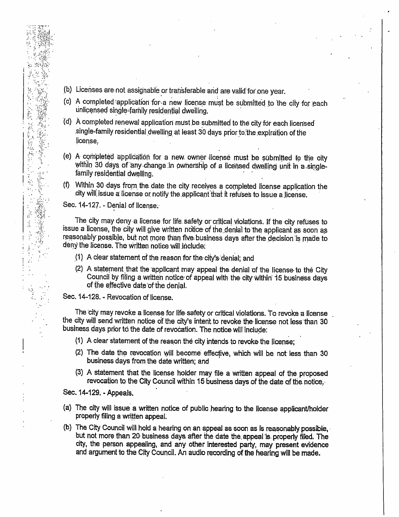- (b) Licenses are not assignable or transferable and are valid for one year.
- (c) A completed application for a new license must be submitted to the city for each unlicensed single-family residential dwelling.
- (d) A completed renewal application must be submitted to the city for each licensed single-family residential dwelling at least 30 days prior to the expiration of the license.
- (e) A completed application for a new owner license must be submitted to the city within 30 days of any change in ownership of a licensed dwelling unit in a singlefamily residential dwelling.
- (f) Within 30 days from the date the city receives a completed license application the city will issue a license or notify the applicant that it refuses to issue a license.

Sec. 14-127. - Denial of license.

医生物

4p

The city may deny a license for life safety or critical violations. If the city refuses to issue a license, the city will give written notice of the denial to the applicant as soon as reasonably possible, but not more than five business days after the decision is made to deny the license. The written notice will include;

- (1) A clear statement of the reason for the city's denial; and
- (2) A statement that the applicant may appeal the denial of the license to the City Council by filing a written notice of appeal with the city within 15 business days of the effective date of the denial.

Sec. 14-128. - Revocation of license.

The city may revoke a license for life safety or critical violations. To revoke a license the city will send written notice of the city's intent to revoke the license not less than 30 business days prior to the date of revocation. The notice will include:

- (1) A clear statement of the reason the city intends to revoke the license;
- (2) The date the revocation will become effective, which will be not less than 30 business days from the date written; and
- (3) A statement that the license holder may file a written appeal of the proposed revocation to the City Council within 15 business days of the date of the notice.

Sec. 14-129. - Appeals.

- (a) The city will issue a written notice of public hearing to the license applicant/holder properly filing a written appeal.
- (b) The City Council will hold a hearing on an appeal as soon as is reasonably possible, but not more than 20 business days after the date the appeal is properly filed. The city, the person appealing, and any other interested party, may present evidence and argument to the City Council. An audio recording of the hearing will be made.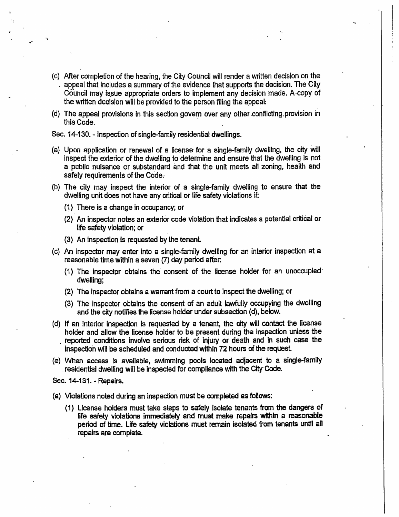- (c) After completion of the hearing, the City Council will render a written decision on the appeal that includes a summary of the evidence that supports the decision. The City Council may issue appropriate orders to implement any decision made. A copy of the written decision will be provided to the person filing the appeal.
- (d) The appeal provisions in this section govern over any other conflicting provision in this Code.

Sec. 14-130. - Inspection of single-family residential dwellings.

- (a) Upon application or renewal of a license for a single-family dwelling, the city will inspect the exterior of the dwelling to determine and ensure that the dwelling is not a public nuisance or substandard and that the unit meets all zoning, health and safety requirements of the Code.
- (b) The city may inspect the interior of a single-family dwelling to ensure that the dwelling unit does not have any critical or life safety violations if:
	- (1) There is a change in occupancy; or
	- (2) An inspector notes an exterior code violation that indicates a potential critical or life safety violation; or
	- (3) An inspection is requested by the tenant.
- (c) An inspector may enter into a single-family dwelling for an interior inspection at a reasonable time within a seven (7) day period after:
	- (1) The inspector obtains the consent of the license holder for an unoccupied dwelling;
	- (2) The inspector obtains a warrant from a court to inspect the dwelling; or
	- (3) The inspector obtains the consent of an adult lawfully occupying the dwelling and the city notifies the license holder under subsection (d), below.
- (d) If an interior inspection is requested by a tenant, the city will contact the license holder and allow the license holder to be present during the inspection unless the reported conditions involve serious risk of injury or death and in such case the inspection will be scheduled and conducted within 72 hours of the request.
- (e) When access is available, swimming pools located adjacent to a single-family residential dwelling will be inspected for compliance with the City Code.

Sec. 14-131. - Repairs.

- (a) Violations noted during an inspection must be completed as follows:
	- (1) License holders must take steps to safely isolate tenants from the dangers of life safety violations immediately and must make repairs within a reasonable period of time. Life safety violations must remain isolated from tenants until all repairs are complete.